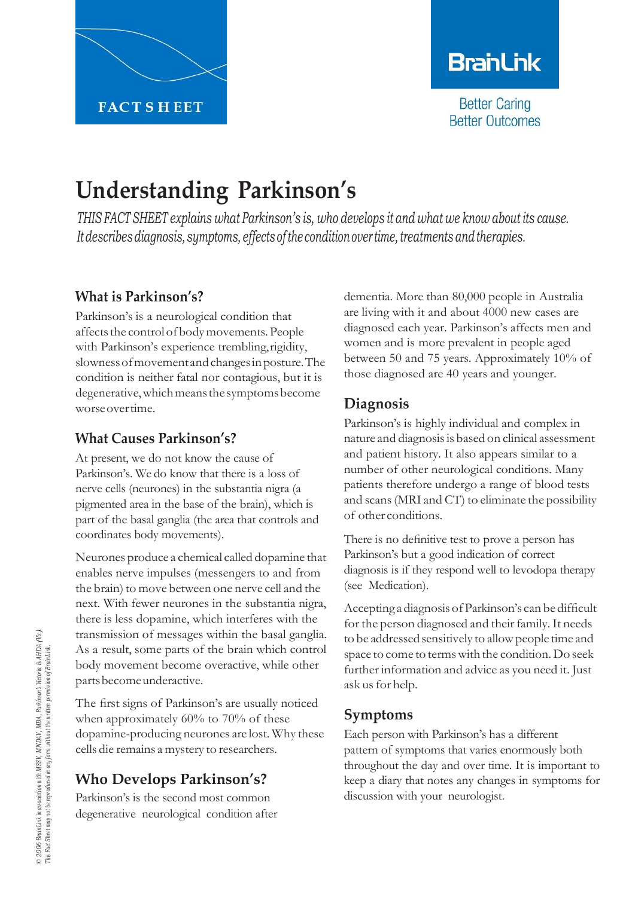

# **BranLink**

**Better Caring Better Outcomes** 

# **Understanding Parkinson's**

*THIS FACT SHEET explains what Parkinson's is, who develops it and what we know about its cause. Itdescribesdiagnosis, symptoms, effects ofthe conditionover time,treatments andtherapies.*

### **What is Parkinson's?**

Parkinson's is a neurological condition that affects the control of body movements. People with Parkinson's experience trembling, rigidity, slownessofmovementandchangesinposture.The condition is neither fatal nor contagious, but it is degenerative, which means the symptoms become worseovertime.

### **What Causes Parkinson's?**

At present, we do not know the cause of Parkinson's. We do know that there is a loss of nerve cells (neurones) in the substantia nigra (a pigmented area in the base of the brain), which is part of the basal ganglia (the area that controls and coordinates body movements).

Neurones produce a chemical called dopamine that enables nerve impulses (messengers to and from the brain) to move between one nerve cell and the next. With fewer neurones in the substantia nigra, there is less dopamine, which interferes with the transmission of messages within the basal ganglia. As a result, some parts of the brain which control body movement become overactive, while other partsbecomeunderactive.

The first signs of Parkinson's are usually noticed when approximately 60% to 70% of these dopamine-producing neurones are lost. Why these cells die remains a mystery to researchers.

## **Who Develops Parkinson's?**

Parkinson's is the second most common degenerative neurological condition after

dementia. More than 80,000 people in Australia are living with it and about 4000 new cases are diagnosed each year. Parkinson's affects men and women and is more prevalent in people aged between 50 and 75 years. Approximately 10% of those diagnosed are 40 years and younger.

## **Diagnosis**

Parkinson's is highly individual and complex in nature and diagnosisis based on clinical assessment and patient history. It also appears similar to a number of other neurological conditions. Many patients therefore undergo a range of blood tests and scans(MRI and CT) to eliminate the possibility of other conditions.

There is no definitive test to prove a person has Parkinson's but a good indication of correct diagnosis is if they respond well to levodopa therapy (see Medication).

Accepting a diagnosis ofParkinson's can be difficult for the person diagnosed and their family. It needs to be addressed sensitively to allow people time and space to come to termswith the condition.Do seek further information and advice as you need it. Just ask us for help.

## **Symptoms**

Each person with Parkinson's has a different pattern of symptoms that varies enormously both throughout the day and over time. It is important to keep a diary that notes any changes in symptoms for discussion with your neurologist.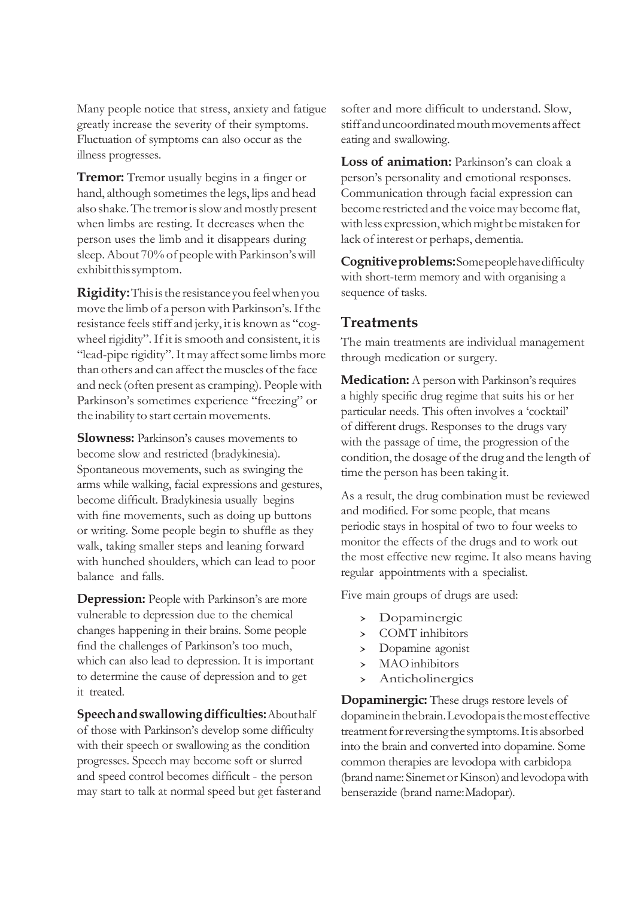Many people notice that stress, anxiety and fatigue greatly increase the severity of their symptoms. Fluctuation of symptoms can also occur as the illness progresses.

**Tremor:** Tremor usually begins in a finger or hand, although sometimes the legs, lips and head also shake. The tremor is slow and mostly present when limbs are resting. It decreases when the person uses the limb and it disappears during sleep.About 70% of peoplewith Parkinson'swill exhibit this symptom.

**Rigidity:** This is the resistance you feel when you move the limb of a person with Parkinson's. If the resistance feelsstiff and jerky, it is known as "cogwheel rigidity". If it is smooth and consistent, it is "lead-pipe rigidity". It may affect some limbs more than others and can affect the muscles of the face and neck (often present as cramping). Peoplewith Parkinson's sometimes experience "freezing" or the inability to start certain movements.

**Slowness:** Parkinson's causes movements to become slow and restricted (bradykinesia). Spontaneous movements, such as swinging the arms while walking, facial expressions and gestures, become difficult. Bradykinesia usually begins with fine movements, such as doing up buttons or writing. Some people begin to shuffle as they walk, taking smaller steps and leaning forward with hunched shoulders, which can lead to poor balance and falls.

**Depression:** People with Parkinson's are more vulnerable to depression due to the chemical changes happening in their brains. Some people find the challenges of Parkinson's too much, which can also lead to depression. It is important to determine the cause of depression and to get it treated.

**Speechandswallowingdifficulties:**Abouthalf of those with Parkinson's develop some difficulty with their speech or swallowing as the condition progresses. Speech may become soft or slurred and speed control becomes difficult - the person may start to talk at normal speed but get fasterand softer and more difficult to understand. Slow, stiffanduncoordinatedmouthmovementsaffect eating and swallowing.

Loss of animation: Parkinson's can cloak a person's personality and emotional responses. Communication through facial expression can become restricted and the voice may become flat, with less expression, which might be mistaken for lack of interest or perhaps, dementia.

**Cognitiveproblems:**Somepeoplehavedifficulty with short-term memory and with organising a sequence of tasks.

#### **Treatments**

The main treatments are individual management through medication or surgery.

**Medication:** A person with Parkinson's requires a highly specific drug regime that suits his or her particular needs. This often involves a 'cocktail' of different drugs. Responses to the drugs vary with the passage of time, the progression of the condition, the dosage of the drug and the length of time the person has been taking it.

As a result, the drug combination must be reviewed and modified. For some people, that means periodic stays in hospital of two to four weeks to monitor the effects of the drugs and to work out the most effective new regime. It also means having regular appointments with a specialist.

Five main groups of drugs are used:

- › Dopaminergic
- › COMT inhibitors
- > Dopamine agonist<br>> MAO inhibitors
- › MAOinhibitors
- **Anticholinergics**

**Dopaminergic:** These drugs restore levels of dopamineinthebrain.Levodopaisthemosteffective treatment for reversing the symptoms. It is absorbed into the brain and converted into dopamine. Some common therapies are levodopa with carbidopa (brand name: Sinemet or Kinson) and levodopa with benserazide (brand name:Madopar).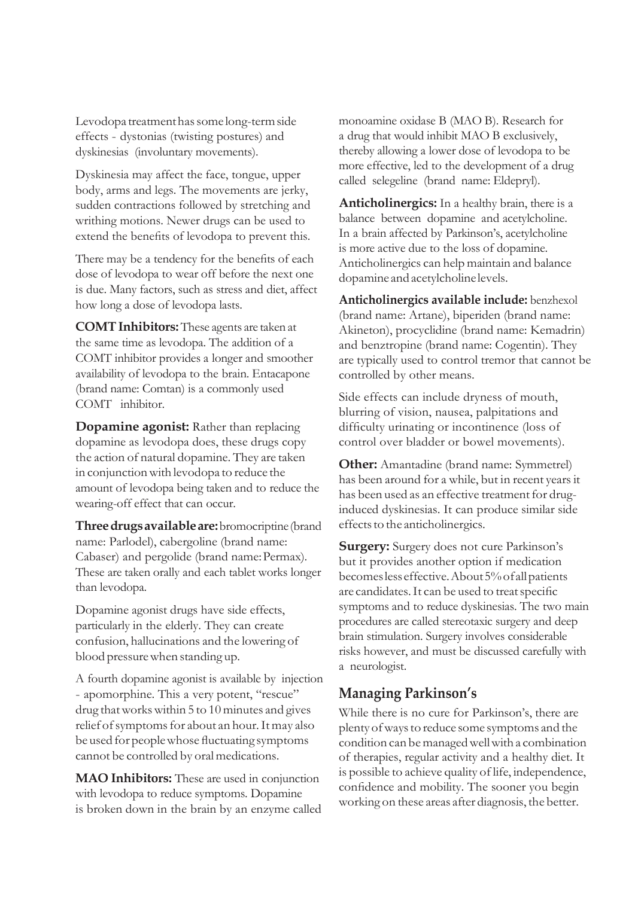Levodopa treatment has some long-term side effects - dystonias (twisting postures) and dyskinesias (involuntary movements).

Dyskinesia may affect the face, tongue, upper body, arms and legs. The movements are jerky, sudden contractions followed by stretching and writhing motions. Newer drugs can be used to extend the benefits of levodopa to prevent this.

There may be a tendency for the benefits of each dose of levodopa to wear off before the next one is due. Many factors, such as stress and diet, affect how long a dose of levodopa lasts.

**COMTInhibitors:**These agents are taken at the same time as levodopa. The addition of a COMT inhibitor provides a longer and smoother availability of levodopa to the brain. Entacapone (brand name: Comtan) is a commonly used COMT inhibitor.

**Dopamine agonist:** Rather than replacing dopamine as levodopa does, these drugs copy the action of natural dopamine. They are taken in conjunction with levodopa to reduce the amount of levodopa being taken and to reduce the wearing-off effect that can occur.

**Threedrugsavailableare:**bromocriptine(brand name: Parlodel), cabergoline (brand name: Cabaser) and pergolide (brand name:Permax). These are taken orally and each tablet works longer than levodopa.

Dopamine agonist drugs have side effects, particularly in the elderly. They can create confusion, hallucinations and the lowering of blood pressure when standing up.

A fourth dopamine agonist is available by injection - apomorphine. This a very potent, "rescue" drug thatworkswithin 5 to 10 minutes and gives relief of symptoms for about an hour. It may also be used for people whose fluctuating symptoms cannot be controlled by oral medications.

**MAO Inhibitors:** These are used in conjunction with levodopa to reduce symptoms. Dopamine is broken down in the brain by an enzyme called monoamine oxidase B (MAO B). Research for a drug that would inhibit MAO B exclusively, thereby allowing a lower dose of levodopa to be more effective, led to the development of a drug called selegeline (brand name: Eldepryl).

**Anticholinergics:** In a healthy brain, there is a balance between dopamine and acetylcholine. In a brain affected by Parkinson's, acetylcholine is more active due to the loss of dopamine. Anticholinergics can help maintain and balance dopamine and acetylcholine levels.

**Anticholinergics available include:** benzhexol (brand name: Artane), biperiden (brand name: Akineton), procyclidine (brand name: Kemadrin) and benztropine (brand name: Cogentin). They are typically used to control tremor that cannot be controlled by other means.

Side effects can include dryness of mouth, blurring of vision, nausea, palpitations and difficulty urinating or incontinence (loss of control over bladder or bowel movements).

**Other:** Amantadine (brand name: Symmetrel) has been around for a while, but in recent years it has been used as an effective treatment for druginduced dyskinesias. It can produce similar side effects to the anticholinergics.

**Surgery:** Surgery does not cure Parkinson's but it provides another option if medication becomeslesseffective.About5%ofallpatients are candidates.It can be used to treatspecific symptoms and to reduce dyskinesias. The two main procedures are called stereotaxic surgery and deep brain stimulation. Surgery involves considerable risks however, and must be discussed carefully with a neurologist.

#### **Managing Parkinson's**

While there is no cure for Parkinson's, there are plenty of ways to reduce some symptoms and the condition can bemanagedwellwith a combination of therapies, regular activity and a healthy diet. It is possible to achieve quality of life, independence, confidence and mobility. The sooner you begin working on these areas after diagnosis, the better.